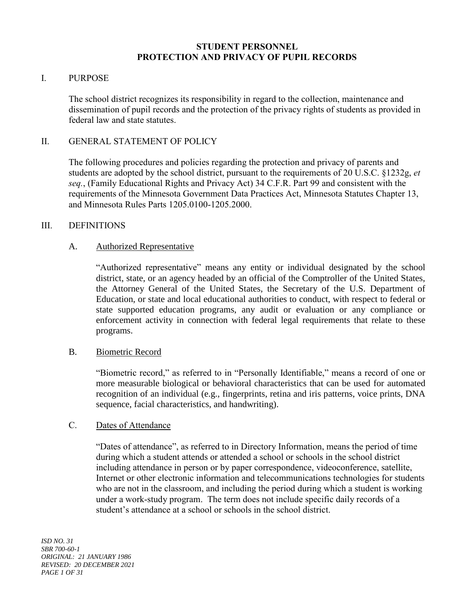#### **STUDENT PERSONNEL PROTECTION AND PRIVACY OF PUPIL RECORDS**

#### I. PURPOSE

The school district recognizes its responsibility in regard to the collection, maintenance and dissemination of pupil records and the protection of the privacy rights of students as provided in federal law and state statutes.

### II. GENERAL STATEMENT OF POLICY

The following procedures and policies regarding the protection and privacy of parents and students are adopted by the school district, pursuant to the requirements of 20 U.S.C. §1232g, *et seq.*, (Family Educational Rights and Privacy Act) 34 C.F.R. Part 99 and consistent with the requirements of the Minnesota Government Data Practices Act, Minnesota Statutes Chapter 13, and Minnesota Rules Parts 1205.0100-1205.2000.

### III. DEFINITIONS

### A. Authorized Representative

"Authorized representative" means any entity or individual designated by the school district, state, or an agency headed by an official of the Comptroller of the United States, the Attorney General of the United States, the Secretary of the U.S. Department of Education, or state and local educational authorities to conduct, with respect to federal or state supported education programs, any audit or evaluation or any compliance or enforcement activity in connection with federal legal requirements that relate to these programs.

#### B. Biometric Record

"Biometric record," as referred to in "Personally Identifiable," means a record of one or more measurable biological or behavioral characteristics that can be used for automated recognition of an individual (e.g., fingerprints, retina and iris patterns, voice prints, DNA sequence, facial characteristics, and handwriting).

#### C. Dates of Attendance

"Dates of attendance", as referred to in Directory Information, means the period of time during which a student attends or attended a school or schools in the school district including attendance in person or by paper correspondence, videoconference, satellite, Internet or other electronic information and telecommunications technologies for students who are not in the classroom, and including the period during which a student is working under a work-study program. The term does not include specific daily records of a student's attendance at a school or schools in the school district.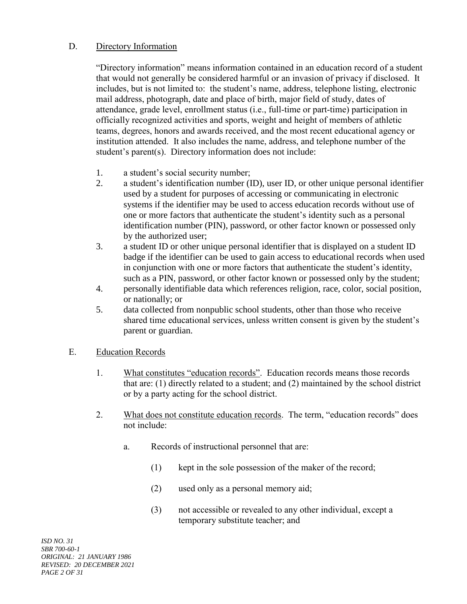### D. Directory Information

"Directory information" means information contained in an education record of a student that would not generally be considered harmful or an invasion of privacy if disclosed. It includes, but is not limited to: the student's name, address, telephone listing, electronic mail address, photograph, date and place of birth, major field of study, dates of attendance, grade level, enrollment status (i.e., full-time or part-time) participation in officially recognized activities and sports, weight and height of members of athletic teams, degrees, honors and awards received, and the most recent educational agency or institution attended. It also includes the name, address, and telephone number of the student's parent(s). Directory information does not include:

- 1. a student's social security number;
- 2. a student's identification number (ID), user ID, or other unique personal identifier used by a student for purposes of accessing or communicating in electronic systems if the identifier may be used to access education records without use of one or more factors that authenticate the student's identity such as a personal identification number (PIN), password, or other factor known or possessed only by the authorized user;
- 3. a student ID or other unique personal identifier that is displayed on a student ID badge if the identifier can be used to gain access to educational records when used in conjunction with one or more factors that authenticate the student's identity, such as a PIN, password, or other factor known or possessed only by the student;
- 4. personally identifiable data which references religion, race, color, social position, or nationally; or
- 5. data collected from nonpublic school students, other than those who receive shared time educational services, unless written consent is given by the student's parent or guardian.

#### E. Education Records

- 1. What constitutes "education records". Education records means those records that are: (1) directly related to a student; and (2) maintained by the school district or by a party acting for the school district.
- 2. What does not constitute education records. The term, "education records" does not include:
	- a. Records of instructional personnel that are:
		- (1) kept in the sole possession of the maker of the record;
		- (2) used only as a personal memory aid;
		- (3) not accessible or revealed to any other individual, except a temporary substitute teacher; and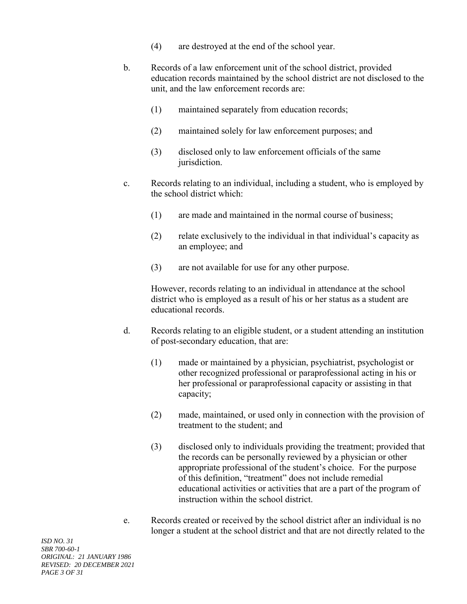- (4) are destroyed at the end of the school year.
- b. Records of a law enforcement unit of the school district, provided education records maintained by the school district are not disclosed to the unit, and the law enforcement records are:
	- (1) maintained separately from education records;
	- (2) maintained solely for law enforcement purposes; and
	- (3) disclosed only to law enforcement officials of the same jurisdiction.
- c. Records relating to an individual, including a student, who is employed by the school district which:
	- (1) are made and maintained in the normal course of business;
	- (2) relate exclusively to the individual in that individual's capacity as an employee; and
	- (3) are not available for use for any other purpose.

However, records relating to an individual in attendance at the school district who is employed as a result of his or her status as a student are educational records.

- d. Records relating to an eligible student, or a student attending an institution of post-secondary education, that are:
	- (1) made or maintained by a physician, psychiatrist, psychologist or other recognized professional or paraprofessional acting in his or her professional or paraprofessional capacity or assisting in that capacity;
	- (2) made, maintained, or used only in connection with the provision of treatment to the student; and
	- (3) disclosed only to individuals providing the treatment; provided that the records can be personally reviewed by a physician or other appropriate professional of the student's choice. For the purpose of this definition, "treatment" does not include remedial educational activities or activities that are a part of the program of instruction within the school district.
- e. Records created or received by the school district after an individual is no longer a student at the school district and that are not directly related to the

*ISD NO. 31 SBR 700-60-1 ORIGINAL: 21 JANUARY 1986 REVISED: 20 DECEMBER 2021 PAGE 3 OF 31*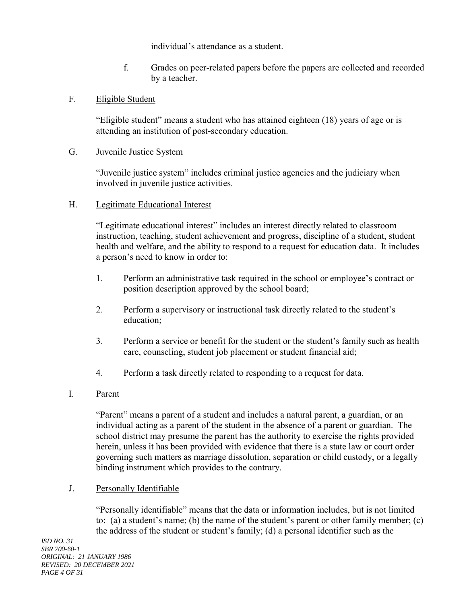individual's attendance as a student.

f. Grades on peer-related papers before the papers are collected and recorded by a teacher.

### F. Eligible Student

"Eligible student" means a student who has attained eighteen (18) years of age or is attending an institution of post-secondary education.

### G. Juvenile Justice System

"Juvenile justice system" includes criminal justice agencies and the judiciary when involved in juvenile justice activities.

### H. Legitimate Educational Interest

"Legitimate educational interest" includes an interest directly related to classroom instruction, teaching, student achievement and progress, discipline of a student, student health and welfare, and the ability to respond to a request for education data. It includes a person's need to know in order to:

- 1. Perform an administrative task required in the school or employee's contract or position description approved by the school board;
- 2. Perform a supervisory or instructional task directly related to the student's education;
- 3. Perform a service or benefit for the student or the student's family such as health care, counseling, student job placement or student financial aid;
- 4. Perform a task directly related to responding to a request for data.
- I. Parent

"Parent" means a parent of a student and includes a natural parent, a guardian, or an individual acting as a parent of the student in the absence of a parent or guardian. The school district may presume the parent has the authority to exercise the rights provided herein, unless it has been provided with evidence that there is a state law or court order governing such matters as marriage dissolution, separation or child custody, or a legally binding instrument which provides to the contrary.

## J. Personally Identifiable

"Personally identifiable" means that the data or information includes, but is not limited to: (a) a student's name; (b) the name of the student's parent or other family member; (c) the address of the student or student's family; (d) a personal identifier such as the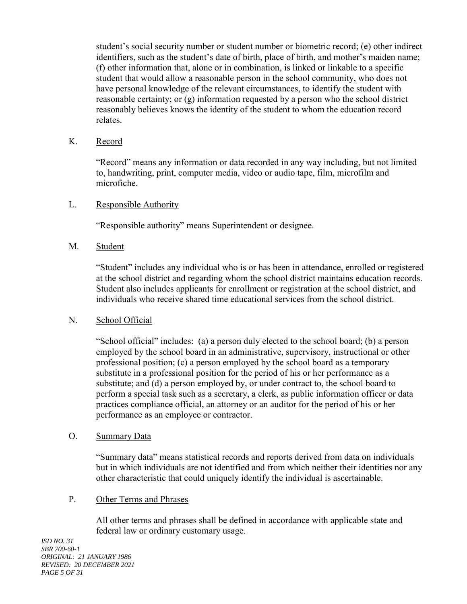student's social security number or student number or biometric record; (e) other indirect identifiers, such as the student's date of birth, place of birth, and mother's maiden name; (f) other information that, alone or in combination, is linked or linkable to a specific student that would allow a reasonable person in the school community, who does not have personal knowledge of the relevant circumstances, to identify the student with reasonable certainty; or (g) information requested by a person who the school district reasonably believes knows the identity of the student to whom the education record relates.

## K. Record

"Record" means any information or data recorded in any way including, but not limited to, handwriting, print, computer media, video or audio tape, film, microfilm and microfiche.

### L. Responsible Authority

"Responsible authority" means Superintendent or designee.

### M. Student

"Student" includes any individual who is or has been in attendance, enrolled or registered at the school district and regarding whom the school district maintains education records. Student also includes applicants for enrollment or registration at the school district, and individuals who receive shared time educational services from the school district.

## N. School Official

"School official" includes: (a) a person duly elected to the school board; (b) a person employed by the school board in an administrative, supervisory, instructional or other professional position; (c) a person employed by the school board as a temporary substitute in a professional position for the period of his or her performance as a substitute; and (d) a person employed by, or under contract to, the school board to perform a special task such as a secretary, a clerk, as public information officer or data practices compliance official, an attorney or an auditor for the period of his or her performance as an employee or contractor.

#### O. Summary Data

"Summary data" means statistical records and reports derived from data on individuals but in which individuals are not identified and from which neither their identities nor any other characteristic that could uniquely identify the individual is ascertainable.

#### P. Other Terms and Phrases

All other terms and phrases shall be defined in accordance with applicable state and federal law or ordinary customary usage.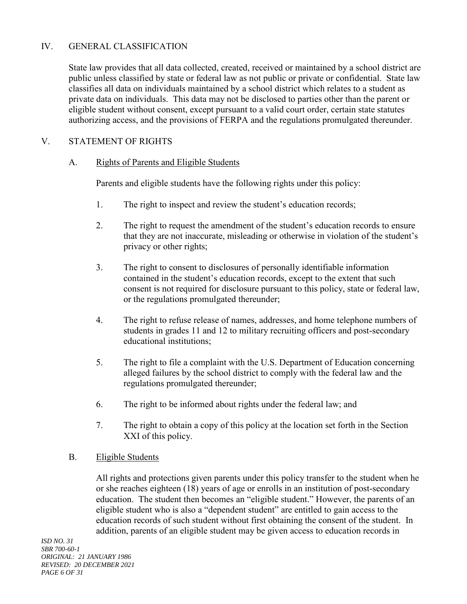## IV. GENERAL CLASSIFICATION

State law provides that all data collected, created, received or maintained by a school district are public unless classified by state or federal law as not public or private or confidential. State law classifies all data on individuals maintained by a school district which relates to a student as private data on individuals. This data may not be disclosed to parties other than the parent or eligible student without consent, except pursuant to a valid court order, certain state statutes authorizing access, and the provisions of FERPA and the regulations promulgated thereunder.

### V. STATEMENT OF RIGHTS

#### A. Rights of Parents and Eligible Students

Parents and eligible students have the following rights under this policy:

- 1. The right to inspect and review the student's education records;
- 2. The right to request the amendment of the student's education records to ensure that they are not inaccurate, misleading or otherwise in violation of the student's privacy or other rights;
- 3. The right to consent to disclosures of personally identifiable information contained in the student's education records, except to the extent that such consent is not required for disclosure pursuant to this policy, state or federal law, or the regulations promulgated thereunder;
- 4. The right to refuse release of names, addresses, and home telephone numbers of students in grades 11 and 12 to military recruiting officers and post-secondary educational institutions;
- 5. The right to file a complaint with the U.S. Department of Education concerning alleged failures by the school district to comply with the federal law and the regulations promulgated thereunder;
- 6. The right to be informed about rights under the federal law; and
- 7. The right to obtain a copy of this policy at the location set forth in the Section XXI of this policy.

#### B. Eligible Students

All rights and protections given parents under this policy transfer to the student when he or she reaches eighteen (18) years of age or enrolls in an institution of post-secondary education. The student then becomes an "eligible student." However, the parents of an eligible student who is also a "dependent student" are entitled to gain access to the education records of such student without first obtaining the consent of the student. In addition, parents of an eligible student may be given access to education records in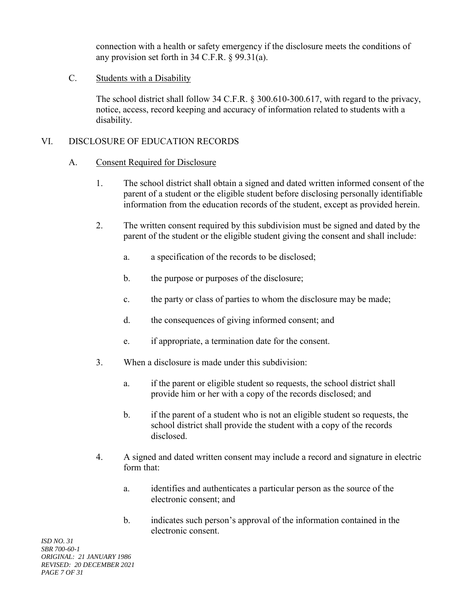connection with a health or safety emergency if the disclosure meets the conditions of any provision set forth in 34 C.F.R. § 99.31(a).

### C. Students with a Disability

The school district shall follow 34 C.F.R. § 300.610-300.617, with regard to the privacy, notice, access, record keeping and accuracy of information related to students with a disability.

### VI. DISCLOSURE OF EDUCATION RECORDS

#### A. Consent Required for Disclosure

- 1. The school district shall obtain a signed and dated written informed consent of the parent of a student or the eligible student before disclosing personally identifiable information from the education records of the student, except as provided herein.
- 2. The written consent required by this subdivision must be signed and dated by the parent of the student or the eligible student giving the consent and shall include:
	- a. a specification of the records to be disclosed;
	- b. the purpose or purposes of the disclosure;
	- c. the party or class of parties to whom the disclosure may be made;
	- d. the consequences of giving informed consent; and
	- e. if appropriate, a termination date for the consent.
- 3. When a disclosure is made under this subdivision:
	- a. if the parent or eligible student so requests, the school district shall provide him or her with a copy of the records disclosed; and
	- b. if the parent of a student who is not an eligible student so requests, the school district shall provide the student with a copy of the records disclosed.
- 4. A signed and dated written consent may include a record and signature in electric form that:
	- a. identifies and authenticates a particular person as the source of the electronic consent; and
	- b. indicates such person's approval of the information contained in the electronic consent.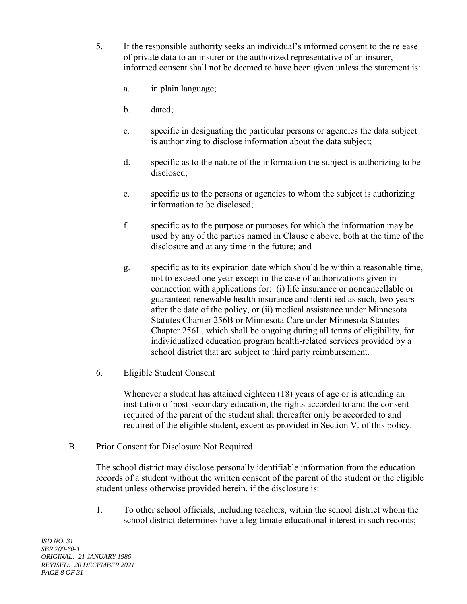- 5. If the responsible authority seeks an individual's informed consent to the release of private data to an insurer or the authorized representative of an insurer, informed consent shall not be deemed to have been given unless the statement is:
	- a. in plain language;
	- b. dated;
	- c. specific in designating the particular persons or agencies the data subject is authorizing to disclose information about the data subject;
	- d. specific as to the nature of the information the subject is authorizing to be disclosed;
	- e. specific as to the persons or agencies to whom the subject is authorizing information to be disclosed;
	- f. specific as to the purpose or purposes for which the information may be used by any of the parties named in Clause e above, both at the time of the disclosure and at any time in the future; and
	- g. specific as to its expiration date which should be within a reasonable time, not to exceed one year except in the case of authorizations given in connection with applications for: (i) life insurance or noncancellable or guaranteed renewable health insurance and identified as such, two years after the date of the policy, or (ii) medical assistance under Minnesota Statutes Chapter 256B or Minnesota Care under Minnesota Statutes Chapter 256L, which shall be ongoing during all terms of eligibility, for individualized education program health-related services provided by a school district that are subject to third party reimbursement.

## 6. Eligible Student Consent

Whenever a student has attained eighteen (18) years of age or is attending an institution of post-secondary education, the rights accorded to and the consent required of the parent of the student shall thereafter only be accorded to and required of the eligible student, except as provided in Section V. of this policy.

#### B. Prior Consent for Disclosure Not Required

The school district may disclose personally identifiable information from the education records of a student without the written consent of the parent of the student or the eligible student unless otherwise provided herein, if the disclosure is:

1. To other school officials, including teachers, within the school district whom the school district determines have a legitimate educational interest in such records;

*ISD NO. 31 SBR 700-60-1 ORIGINAL: 21 JANUARY 1986 REVISED: 20 DECEMBER 2021 PAGE 8 OF 31*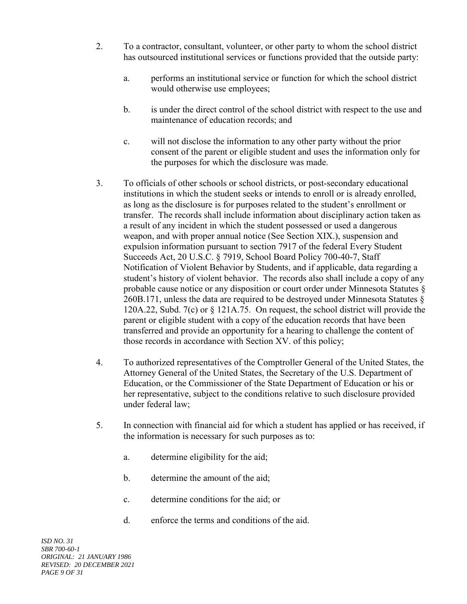- 2. To a contractor, consultant, volunteer, or other party to whom the school district has outsourced institutional services or functions provided that the outside party:
	- a. performs an institutional service or function for which the school district would otherwise use employees;
	- b. is under the direct control of the school district with respect to the use and maintenance of education records; and
	- c. will not disclose the information to any other party without the prior consent of the parent or eligible student and uses the information only for the purposes for which the disclosure was made.
- 3. To officials of other schools or school districts, or post-secondary educational institutions in which the student seeks or intends to enroll or is already enrolled, as long as the disclosure is for purposes related to the student's enrollment or transfer. The records shall include information about disciplinary action taken as a result of any incident in which the student possessed or used a dangerous weapon, and with proper annual notice (See Section XIX.), suspension and expulsion information pursuant to section 7917 of the federal Every Student Succeeds Act, 20 U.S.C. § 7919, School Board Policy 700-40-7, Staff Notification of Violent Behavior by Students, and if applicable, data regarding a student's history of violent behavior. The records also shall include a copy of any probable cause notice or any disposition or court order under Minnesota Statutes § 260B.171, unless the data are required to be destroyed under Minnesota Statutes § 120A.22, Subd. 7(c) or § 121A.75. On request, the school district will provide the parent or eligible student with a copy of the education records that have been transferred and provide an opportunity for a hearing to challenge the content of those records in accordance with Section XV. of this policy;
- 4. To authorized representatives of the Comptroller General of the United States, the Attorney General of the United States, the Secretary of the U.S. Department of Education, or the Commissioner of the State Department of Education or his or her representative, subject to the conditions relative to such disclosure provided under federal law;
- 5. In connection with financial aid for which a student has applied or has received, if the information is necessary for such purposes as to:
	- a. determine eligibility for the aid;
	- b. determine the amount of the aid;
	- c. determine conditions for the aid; or
	- d. enforce the terms and conditions of the aid.

*ISD NO. 31 SBR 700-60-1 ORIGINAL: 21 JANUARY 1986 REVISED: 20 DECEMBER 2021 PAGE 9 OF 31*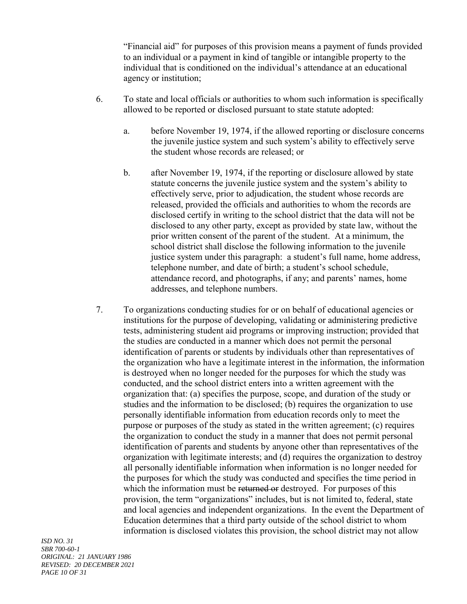"Financial aid" for purposes of this provision means a payment of funds provided to an individual or a payment in kind of tangible or intangible property to the individual that is conditioned on the individual's attendance at an educational agency or institution;

- 6. To state and local officials or authorities to whom such information is specifically allowed to be reported or disclosed pursuant to state statute adopted:
	- a. before November 19, 1974, if the allowed reporting or disclosure concerns the juvenile justice system and such system's ability to effectively serve the student whose records are released; or
	- b. after November 19, 1974, if the reporting or disclosure allowed by state statute concerns the juvenile justice system and the system's ability to effectively serve, prior to adjudication, the student whose records are released, provided the officials and authorities to whom the records are disclosed certify in writing to the school district that the data will not be disclosed to any other party, except as provided by state law, without the prior written consent of the parent of the student. At a minimum, the school district shall disclose the following information to the juvenile justice system under this paragraph: a student's full name, home address, telephone number, and date of birth; a student's school schedule, attendance record, and photographs, if any; and parents' names, home addresses, and telephone numbers.
- 7. To organizations conducting studies for or on behalf of educational agencies or institutions for the purpose of developing, validating or administering predictive tests, administering student aid programs or improving instruction; provided that the studies are conducted in a manner which does not permit the personal identification of parents or students by individuals other than representatives of the organization who have a legitimate interest in the information, the information is destroyed when no longer needed for the purposes for which the study was conducted, and the school district enters into a written agreement with the organization that: (a) specifies the purpose, scope, and duration of the study or studies and the information to be disclosed; (b) requires the organization to use personally identifiable information from education records only to meet the purpose or purposes of the study as stated in the written agreement; (c) requires the organization to conduct the study in a manner that does not permit personal identification of parents and students by anyone other than representatives of the organization with legitimate interests; and (d) requires the organization to destroy all personally identifiable information when information is no longer needed for the purposes for which the study was conducted and specifies the time period in which the information must be returned or destroyed. For purposes of this provision, the term "organizations" includes, but is not limited to, federal, state and local agencies and independent organizations. In the event the Department of Education determines that a third party outside of the school district to whom information is disclosed violates this provision, the school district may not allow

*ISD NO. 31 SBR 700-60-1 ORIGINAL: 21 JANUARY 1986 REVISED: 20 DECEMBER 2021 PAGE 10 OF 31*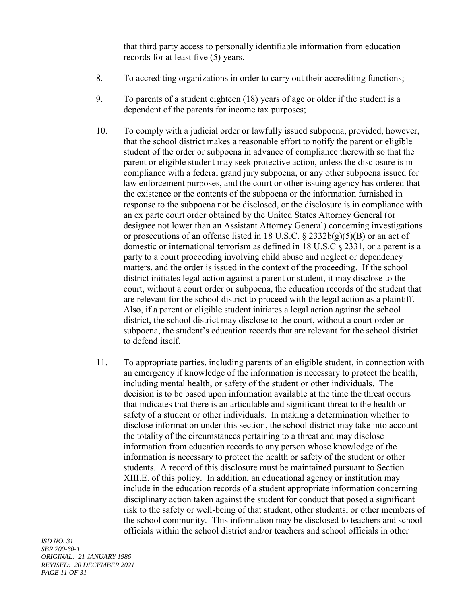that third party access to personally identifiable information from education records for at least five (5) years.

- 8. To accrediting organizations in order to carry out their accrediting functions;
- 9. To parents of a student eighteen (18) years of age or older if the student is a dependent of the parents for income tax purposes;
- 10. To comply with a judicial order or lawfully issued subpoena, provided, however, that the school district makes a reasonable effort to notify the parent or eligible student of the order or subpoena in advance of compliance therewith so that the parent or eligible student may seek protective action, unless the disclosure is in compliance with a federal grand jury subpoena, or any other subpoena issued for law enforcement purposes, and the court or other issuing agency has ordered that the existence or the contents of the subpoena or the information furnished in response to the subpoena not be disclosed, or the disclosure is in compliance with an ex parte court order obtained by the United States Attorney General (or designee not lower than an Assistant Attorney General) concerning investigations or prosecutions of an offense listed in 18 U.S.C.  $\S$  2332b(g)(5)(B) or an act of domestic or international terrorism as defined in 18 U.S.C s 2331, or a parent is a party to a court proceeding involving child abuse and neglect or dependency matters, and the order is issued in the context of the proceeding. If the school district initiates legal action against a parent or student, it may disclose to the court, without a court order or subpoena, the education records of the student that are relevant for the school district to proceed with the legal action as a plaintiff. Also, if a parent or eligible student initiates a legal action against the school district, the school district may disclose to the court, without a court order or subpoena, the student's education records that are relevant for the school district to defend itself.
- 11. To appropriate parties, including parents of an eligible student, in connection with an emergency if knowledge of the information is necessary to protect the health, including mental health, or safety of the student or other individuals. The decision is to be based upon information available at the time the threat occurs that indicates that there is an articulable and significant threat to the health or safety of a student or other individuals. In making a determination whether to disclose information under this section, the school district may take into account the totality of the circumstances pertaining to a threat and may disclose information from education records to any person whose knowledge of the information is necessary to protect the health or safety of the student or other students. A record of this disclosure must be maintained pursuant to Section XIII.E. of this policy. In addition, an educational agency or institution may include in the education records of a student appropriate information concerning disciplinary action taken against the student for conduct that posed a significant risk to the safety or well-being of that student, other students, or other members of the school community. This information may be disclosed to teachers and school officials within the school district and/or teachers and school officials in other

*ISD NO. 31 SBR 700-60-1 ORIGINAL: 21 JANUARY 1986 REVISED: 20 DECEMBER 2021 PAGE 11 OF 31*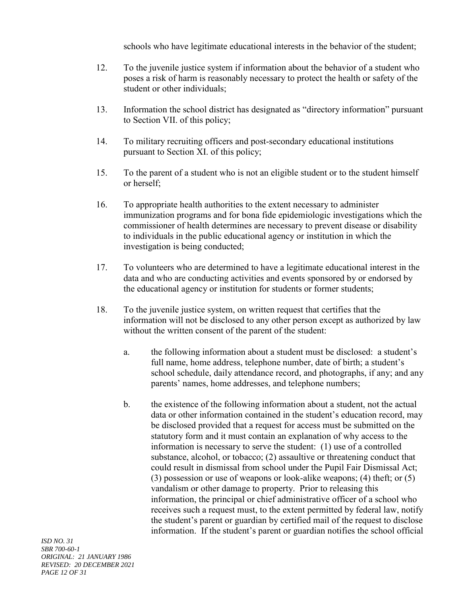schools who have legitimate educational interests in the behavior of the student;

- 12. To the juvenile justice system if information about the behavior of a student who poses a risk of harm is reasonably necessary to protect the health or safety of the student or other individuals;
- 13. Information the school district has designated as "directory information" pursuant to Section VII. of this policy;
- 14. To military recruiting officers and post-secondary educational institutions pursuant to Section XI. of this policy;
- 15. To the parent of a student who is not an eligible student or to the student himself or herself;
- 16. To appropriate health authorities to the extent necessary to administer immunization programs and for bona fide epidemiologic investigations which the commissioner of health determines are necessary to prevent disease or disability to individuals in the public educational agency or institution in which the investigation is being conducted;
- 17. To volunteers who are determined to have a legitimate educational interest in the data and who are conducting activities and events sponsored by or endorsed by the educational agency or institution for students or former students;
- 18. To the juvenile justice system, on written request that certifies that the information will not be disclosed to any other person except as authorized by law without the written consent of the parent of the student:
	- a. the following information about a student must be disclosed: a student's full name, home address, telephone number, date of birth; a student's school schedule, daily attendance record, and photographs, if any; and any parents' names, home addresses, and telephone numbers;
	- b. the existence of the following information about a student, not the actual data or other information contained in the student's education record, may be disclosed provided that a request for access must be submitted on the statutory form and it must contain an explanation of why access to the information is necessary to serve the student: (1) use of a controlled substance, alcohol, or tobacco; (2) assaultive or threatening conduct that could result in dismissal from school under the Pupil Fair Dismissal Act; (3) possession or use of weapons or look-alike weapons; (4) theft; or (5) vandalism or other damage to property. Prior to releasing this information, the principal or chief administrative officer of a school who receives such a request must, to the extent permitted by federal law, notify the student's parent or guardian by certified mail of the request to disclose information. If the student's parent or guardian notifies the school official

*ISD NO. 31 SBR 700-60-1 ORIGINAL: 21 JANUARY 1986 REVISED: 20 DECEMBER 2021 PAGE 12 OF 31*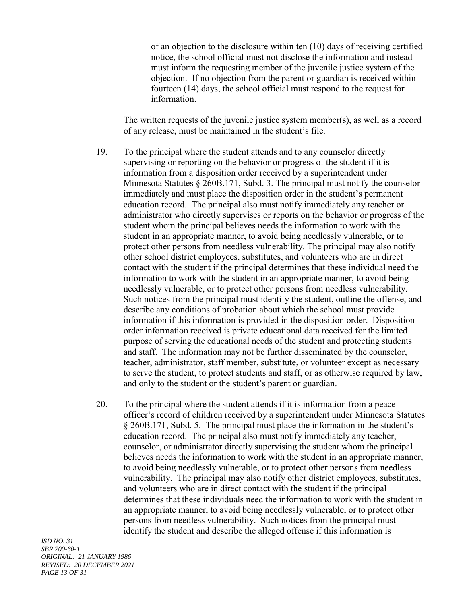of an objection to the disclosure within ten (10) days of receiving certified notice, the school official must not disclose the information and instead must inform the requesting member of the juvenile justice system of the objection. If no objection from the parent or guardian is received within fourteen (14) days, the school official must respond to the request for information.

The written requests of the juvenile justice system member(s), as well as a record of any release, must be maintained in the student's file.

- 19. To the principal where the student attends and to any counselor directly supervising or reporting on the behavior or progress of the student if it is information from a disposition order received by a superintendent under Minnesota Statutes  $\S 260B.171$ , Subd. 3. The principal must notify the counselor immediately and must place the disposition order in the student's permanent education record. The principal also must notify immediately any teacher or administrator who directly supervises or reports on the behavior or progress of the student whom the principal believes needs the information to work with the student in an appropriate manner, to avoid being needlessly vulnerable, or to protect other persons from needless vulnerability. The principal may also notify other school district employees, substitutes, and volunteers who are in direct contact with the student if the principal determines that these individual need the information to work with the student in an appropriate manner, to avoid being needlessly vulnerable, or to protect other persons from needless vulnerability. Such notices from the principal must identify the student, outline the offense, and describe any conditions of probation about which the school must provide information if this information is provided in the disposition order. Disposition order information received is private educational data received for the limited purpose of serving the educational needs of the student and protecting students and staff. The information may not be further disseminated by the counselor, teacher, administrator, staff member, substitute, or volunteer except as necessary to serve the student, to protect students and staff, or as otherwise required by law, and only to the student or the student's parent or guardian.
- 20. To the principal where the student attends if it is information from a peace officer's record of children received by a superintendent under Minnesota Statutes § 260B.171, Subd. 5. The principal must place the information in the student's education record. The principal also must notify immediately any teacher, counselor, or administrator directly supervising the student whom the principal believes needs the information to work with the student in an appropriate manner, to avoid being needlessly vulnerable, or to protect other persons from needless vulnerability. The principal may also notify other district employees, substitutes, and volunteers who are in direct contact with the student if the principal determines that these individuals need the information to work with the student in an appropriate manner, to avoid being needlessly vulnerable, or to protect other persons from needless vulnerability. Such notices from the principal must identify the student and describe the alleged offense if this information is

*ISD NO. 31 SBR 700-60-1 ORIGINAL: 21 JANUARY 1986 REVISED: 20 DECEMBER 2021 PAGE 13 OF 31*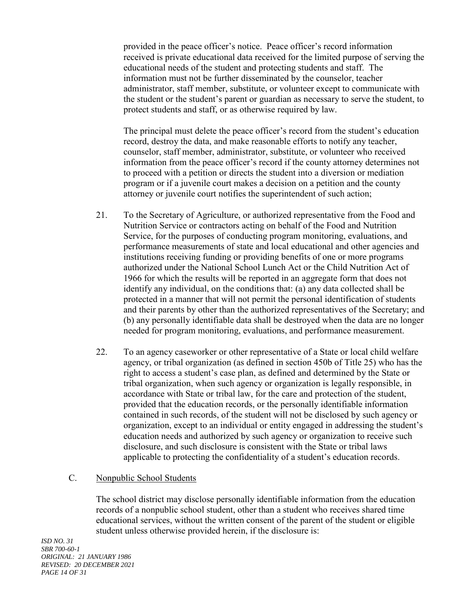provided in the peace officer's notice. Peace officer's record information received is private educational data received for the limited purpose of serving the educational needs of the student and protecting students and staff. The information must not be further disseminated by the counselor, teacher administrator, staff member, substitute, or volunteer except to communicate with the student or the student's parent or guardian as necessary to serve the student, to protect students and staff, or as otherwise required by law.

The principal must delete the peace officer's record from the student's education record, destroy the data, and make reasonable efforts to notify any teacher, counselor, staff member, administrator, substitute, or volunteer who received information from the peace officer's record if the county attorney determines not to proceed with a petition or directs the student into a diversion or mediation program or if a juvenile court makes a decision on a petition and the county attorney or juvenile court notifies the superintendent of such action;

- 21. To the Secretary of Agriculture, or authorized representative from the Food and Nutrition Service or contractors acting on behalf of the Food and Nutrition Service, for the purposes of conducting program monitoring, evaluations, and performance measurements of state and local educational and other agencies and institutions receiving funding or providing benefits of one or more programs authorized under the National School Lunch Act or the Child Nutrition Act of 1966 for which the results will be reported in an aggregate form that does not identify any individual, on the conditions that: (a) any data collected shall be protected in a manner that will not permit the personal identification of students and their parents by other than the authorized representatives of the Secretary; and (b) any personally identifiable data shall be destroyed when the data are no longer needed for program monitoring, evaluations, and performance measurement.
- 22. To an agency caseworker or other representative of a State or local child welfare agency, or tribal organization (as defined in section 450b of Title 25) who has the right to access a student's case plan, as defined and determined by the State or tribal organization, when such agency or organization is legally responsible, in accordance with State or tribal law, for the care and protection of the student, provided that the education records, or the personally identifiable information contained in such records, of the student will not be disclosed by such agency or organization, except to an individual or entity engaged in addressing the student's education needs and authorized by such agency or organization to receive such disclosure, and such disclosure is consistent with the State or tribal laws applicable to protecting the confidentiality of a student's education records.

#### C. Nonpublic School Students

The school district may disclose personally identifiable information from the education records of a nonpublic school student, other than a student who receives shared time educational services, without the written consent of the parent of the student or eligible student unless otherwise provided herein, if the disclosure is: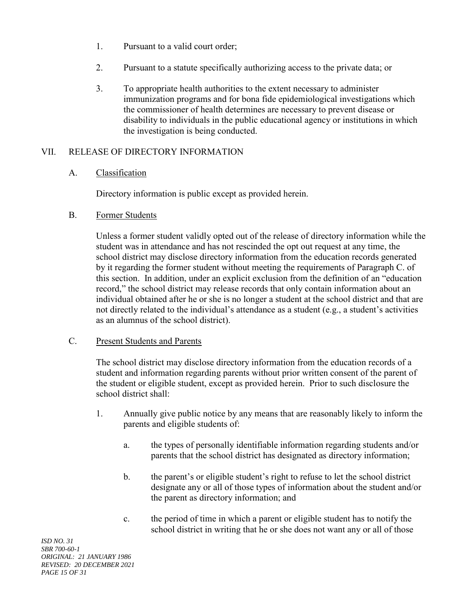- 1. Pursuant to a valid court order;
- 2. Pursuant to a statute specifically authorizing access to the private data; or
- 3. To appropriate health authorities to the extent necessary to administer immunization programs and for bona fide epidemiological investigations which the commissioner of health determines are necessary to prevent disease or disability to individuals in the public educational agency or institutions in which the investigation is being conducted.

### VII. RELEASE OF DIRECTORY INFORMATION

#### A. Classification

Directory information is public except as provided herein.

B. Former Students

Unless a former student validly opted out of the release of directory information while the student was in attendance and has not rescinded the opt out request at any time, the school district may disclose directory information from the education records generated by it regarding the former student without meeting the requirements of Paragraph C. of this section. In addition, under an explicit exclusion from the definition of an "education record," the school district may release records that only contain information about an individual obtained after he or she is no longer a student at the school district and that are not directly related to the individual's attendance as a student (e.g., a student's activities as an alumnus of the school district).

#### C. Present Students and Parents

The school district may disclose directory information from the education records of a student and information regarding parents without prior written consent of the parent of the student or eligible student, except as provided herein. Prior to such disclosure the school district shall:

- 1. Annually give public notice by any means that are reasonably likely to inform the parents and eligible students of:
	- a. the types of personally identifiable information regarding students and/or parents that the school district has designated as directory information;
	- b. the parent's or eligible student's right to refuse to let the school district designate any or all of those types of information about the student and/or the parent as directory information; and
	- c. the period of time in which a parent or eligible student has to notify the school district in writing that he or she does not want any or all of those

*ISD NO. 31 SBR 700-60-1 ORIGINAL: 21 JANUARY 1986 REVISED: 20 DECEMBER 2021 PAGE 15 OF 31*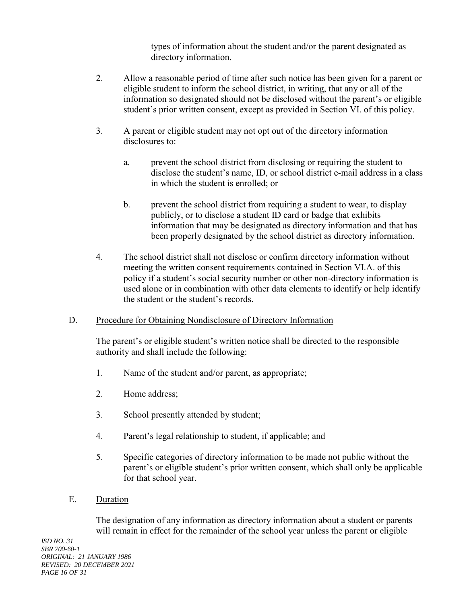types of information about the student and/or the parent designated as directory information.

- 2. Allow a reasonable period of time after such notice has been given for a parent or eligible student to inform the school district, in writing, that any or all of the information so designated should not be disclosed without the parent's or eligible student's prior written consent, except as provided in Section VI. of this policy.
- 3. A parent or eligible student may not opt out of the directory information disclosures to:
	- a. prevent the school district from disclosing or requiring the student to disclose the student's name, ID, or school district e-mail address in a class in which the student is enrolled; or
	- b. prevent the school district from requiring a student to wear, to display publicly, or to disclose a student ID card or badge that exhibits information that may be designated as directory information and that has been properly designated by the school district as directory information.
- 4. The school district shall not disclose or confirm directory information without meeting the written consent requirements contained in Section VI.A. of this policy if a student's social security number or other non-directory information is used alone or in combination with other data elements to identify or help identify the student or the student's records.

## D. Procedure for Obtaining Nondisclosure of Directory Information

The parent's or eligible student's written notice shall be directed to the responsible authority and shall include the following:

- 1. Name of the student and/or parent, as appropriate;
- 2. Home address;
- 3. School presently attended by student;
- 4. Parent's legal relationship to student, if applicable; and
- 5. Specific categories of directory information to be made not public without the parent's or eligible student's prior written consent, which shall only be applicable for that school year.
- E. Duration

The designation of any information as directory information about a student or parents will remain in effect for the remainder of the school year unless the parent or eligible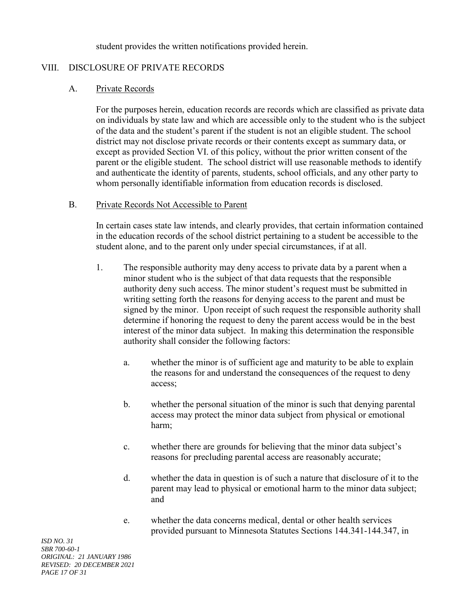student provides the written notifications provided herein.

### VIII. DISCLOSURE OF PRIVATE RECORDS

#### A. Private Records

For the purposes herein, education records are records which are classified as private data on individuals by state law and which are accessible only to the student who is the subject of the data and the student's parent if the student is not an eligible student. The school district may not disclose private records or their contents except as summary data, or except as provided Section VI. of this policy, without the prior written consent of the parent or the eligible student. The school district will use reasonable methods to identify and authenticate the identity of parents, students, school officials, and any other party to whom personally identifiable information from education records is disclosed.

#### B. Private Records Not Accessible to Parent

In certain cases state law intends, and clearly provides, that certain information contained in the education records of the school district pertaining to a student be accessible to the student alone, and to the parent only under special circumstances, if at all.

- 1. The responsible authority may deny access to private data by a parent when a minor student who is the subject of that data requests that the responsible authority deny such access. The minor student's request must be submitted in writing setting forth the reasons for denying access to the parent and must be signed by the minor. Upon receipt of such request the responsible authority shall determine if honoring the request to deny the parent access would be in the best interest of the minor data subject. In making this determination the responsible authority shall consider the following factors:
	- a. whether the minor is of sufficient age and maturity to be able to explain the reasons for and understand the consequences of the request to deny access;
	- b. whether the personal situation of the minor is such that denying parental access may protect the minor data subject from physical or emotional harm;
	- c. whether there are grounds for believing that the minor data subject's reasons for precluding parental access are reasonably accurate;
	- d. whether the data in question is of such a nature that disclosure of it to the parent may lead to physical or emotional harm to the minor data subject; and
	- e. whether the data concerns medical, dental or other health services provided pursuant to Minnesota Statutes Sections 144.341-144.347, in

*ISD NO. 31 SBR 700-60-1 ORIGINAL: 21 JANUARY 1986 REVISED: 20 DECEMBER 2021 PAGE 17 OF 31*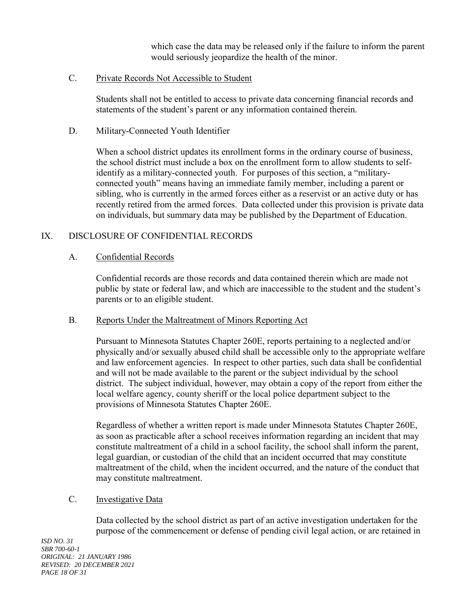which case the data may be released only if the failure to inform the parent would seriously jeopardize the health of the minor.

### C. Private Records Not Accessible to Student

Students shall not be entitled to access to private data concerning financial records and statements of the student's parent or any information contained therein.

### D. Military-Connected Youth Identifier

When a school district updates its enrollment forms in the ordinary course of business, the school district must include a box on the enrollment form to allow students to selfidentify as a military-connected youth. For purposes of this section, a "militaryconnected youth" means having an immediate family member, including a parent or sibling, who is currently in the armed forces either as a reservist or an active duty or has recently retired from the armed forces. Data collected under this provision is private data on individuals, but summary data may be published by the Department of Education.

### IX. DISCLOSURE OF CONFIDENTIAL RECORDS

### A. Confidential Records

Confidential records are those records and data contained therein which are made not public by state or federal law, and which are inaccessible to the student and the student's parents or to an eligible student.

#### B. Reports Under the Maltreatment of Minors Reporting Act

Pursuant to Minnesota Statutes Chapter 260E, reports pertaining to a neglected and/or physically and/or sexually abused child shall be accessible only to the appropriate welfare and law enforcement agencies. In respect to other parties, such data shall be confidential and will not be made available to the parent or the subject individual by the school district. The subject individual, however, may obtain a copy of the report from either the local welfare agency, county sheriff or the local police department subject to the provisions of Minnesota Statutes Chapter 260E.

Regardless of whether a written report is made under Minnesota Statutes Chapter 260E, as soon as practicable after a school receives information regarding an incident that may constitute maltreatment of a child in a school facility, the school shall inform the parent, legal guardian, or custodian of the child that an incident occurred that may constitute maltreatment of the child, when the incident occurred, and the nature of the conduct that may constitute maltreatment.

## C. Investigative Data

Data collected by the school district as part of an active investigation undertaken for the purpose of the commencement or defense of pending civil legal action, or are retained in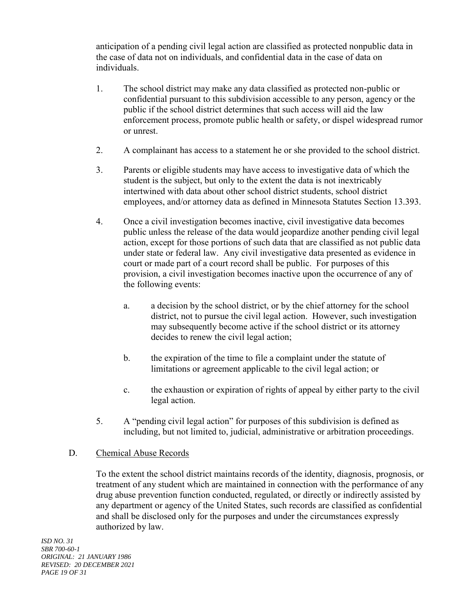anticipation of a pending civil legal action are classified as protected nonpublic data in the case of data not on individuals, and confidential data in the case of data on individuals.

- 1. The school district may make any data classified as protected non-public or confidential pursuant to this subdivision accessible to any person, agency or the public if the school district determines that such access will aid the law enforcement process, promote public health or safety, or dispel widespread rumor or unrest.
- 2. A complainant has access to a statement he or she provided to the school district.
- 3. Parents or eligible students may have access to investigative data of which the student is the subject, but only to the extent the data is not inextricably intertwined with data about other school district students, school district employees, and/or attorney data as defined in Minnesota Statutes Section 13.393.
- 4. Once a civil investigation becomes inactive, civil investigative data becomes public unless the release of the data would jeopardize another pending civil legal action, except for those portions of such data that are classified as not public data under state or federal law. Any civil investigative data presented as evidence in court or made part of a court record shall be public. For purposes of this provision, a civil investigation becomes inactive upon the occurrence of any of the following events:
	- a. a decision by the school district, or by the chief attorney for the school district, not to pursue the civil legal action. However, such investigation may subsequently become active if the school district or its attorney decides to renew the civil legal action;
	- b. the expiration of the time to file a complaint under the statute of limitations or agreement applicable to the civil legal action; or
	- c. the exhaustion or expiration of rights of appeal by either party to the civil legal action.
- 5. A "pending civil legal action" for purposes of this subdivision is defined as including, but not limited to, judicial, administrative or arbitration proceedings.

#### D. Chemical Abuse Records

To the extent the school district maintains records of the identity, diagnosis, prognosis, or treatment of any student which are maintained in connection with the performance of any drug abuse prevention function conducted, regulated, or directly or indirectly assisted by any department or agency of the United States, such records are classified as confidential and shall be disclosed only for the purposes and under the circumstances expressly authorized by law.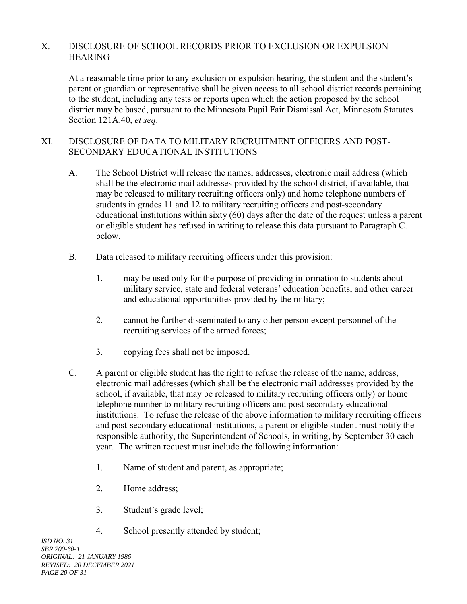## X. DISCLOSURE OF SCHOOL RECORDS PRIOR TO EXCLUSION OR EXPULSION **HEARING**

At a reasonable time prior to any exclusion or expulsion hearing, the student and the student's parent or guardian or representative shall be given access to all school district records pertaining to the student, including any tests or reports upon which the action proposed by the school district may be based, pursuant to the Minnesota Pupil Fair Dismissal Act, Minnesota Statutes Section 121A.40, *et seq*.

## XI. DISCLOSURE OF DATA TO MILITARY RECRUITMENT OFFICERS AND POST-SECONDARY EDUCATIONAL INSTITUTIONS

- A. The School District will release the names, addresses, electronic mail address (which shall be the electronic mail addresses provided by the school district, if available, that may be released to military recruiting officers only) and home telephone numbers of students in grades 11 and 12 to military recruiting officers and post-secondary educational institutions within sixty (60) days after the date of the request unless a parent or eligible student has refused in writing to release this data pursuant to Paragraph C. below.
- B. Data released to military recruiting officers under this provision:
	- 1. may be used only for the purpose of providing information to students about military service, state and federal veterans' education benefits, and other career and educational opportunities provided by the military;
	- 2. cannot be further disseminated to any other person except personnel of the recruiting services of the armed forces;
	- 3. copying fees shall not be imposed.
- C. A parent or eligible student has the right to refuse the release of the name, address, electronic mail addresses (which shall be the electronic mail addresses provided by the school, if available, that may be released to military recruiting officers only) or home telephone number to military recruiting officers and post-secondary educational institutions. To refuse the release of the above information to military recruiting officers and post-secondary educational institutions, a parent or eligible student must notify the responsible authority, the Superintendent of Schools, in writing, by September 30 each year. The written request must include the following information:
	- 1. Name of student and parent, as appropriate;
	- 2. Home address;
	- 3. Student's grade level;
	- 4. School presently attended by student;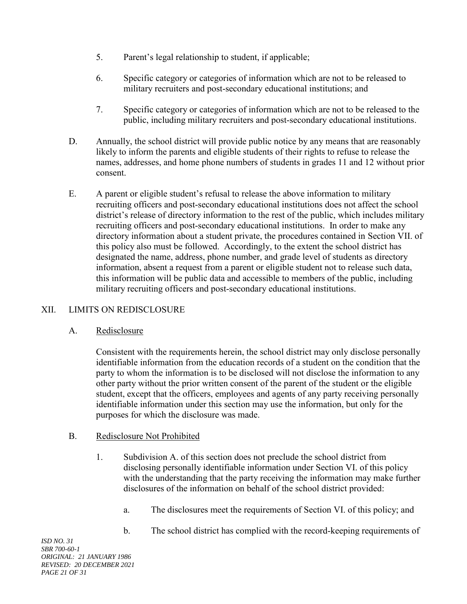- 5. Parent's legal relationship to student, if applicable;
- 6. Specific category or categories of information which are not to be released to military recruiters and post-secondary educational institutions; and
- 7. Specific category or categories of information which are not to be released to the public, including military recruiters and post-secondary educational institutions.
- D. Annually, the school district will provide public notice by any means that are reasonably likely to inform the parents and eligible students of their rights to refuse to release the names, addresses, and home phone numbers of students in grades 11 and 12 without prior consent.
- E. A parent or eligible student's refusal to release the above information to military recruiting officers and post-secondary educational institutions does not affect the school district's release of directory information to the rest of the public, which includes military recruiting officers and post-secondary educational institutions. In order to make any directory information about a student private, the procedures contained in Section VII. of this policy also must be followed. Accordingly, to the extent the school district has designated the name, address, phone number, and grade level of students as directory information, absent a request from a parent or eligible student not to release such data, this information will be public data and accessible to members of the public, including military recruiting officers and post-secondary educational institutions.

# XII. LIMITS ON REDISCLOSURE

## A. Redisclosure

Consistent with the requirements herein, the school district may only disclose personally identifiable information from the education records of a student on the condition that the party to whom the information is to be disclosed will not disclose the information to any other party without the prior written consent of the parent of the student or the eligible student, except that the officers, employees and agents of any party receiving personally identifiable information under this section may use the information, but only for the purposes for which the disclosure was made.

## B. Redisclosure Not Prohibited

- 1. Subdivision A. of this section does not preclude the school district from disclosing personally identifiable information under Section VI. of this policy with the understanding that the party receiving the information may make further disclosures of the information on behalf of the school district provided:
	- a. The disclosures meet the requirements of Section VI. of this policy; and
	- b. The school district has complied with the record-keeping requirements of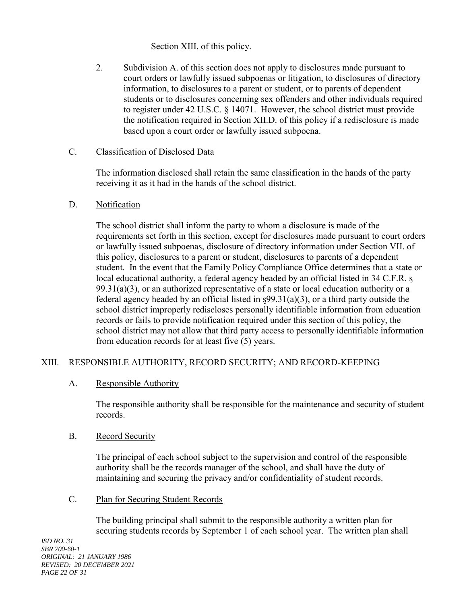Section XIII. of this policy.

2. Subdivision A. of this section does not apply to disclosures made pursuant to court orders or lawfully issued subpoenas or litigation, to disclosures of directory information, to disclosures to a parent or student, or to parents of dependent students or to disclosures concerning sex offenders and other individuals required to register under 42 U.S.C. § 14071. However, the school district must provide the notification required in Section XII.D. of this policy if a redisclosure is made based upon a court order or lawfully issued subpoena.

## C. Classification of Disclosed Data

The information disclosed shall retain the same classification in the hands of the party receiving it as it had in the hands of the school district.

## D. Notification

The school district shall inform the party to whom a disclosure is made of the requirements set forth in this section, except for disclosures made pursuant to court orders or lawfully issued subpoenas, disclosure of directory information under Section VII. of this policy, disclosures to a parent or student, disclosures to parents of a dependent student. In the event that the Family Policy Compliance Office determines that a state or local educational authority, a federal agency headed by an official listed in 34 C.F.R. s  $99.31(a)(3)$ , or an authorized representative of a state or local education authority or a federal agency headed by an official listed in  $\frac{99.31(a)(3)}{6}$ , or a third party outside the school district improperly rediscloses personally identifiable information from education records or fails to provide notification required under this section of this policy, the school district may not allow that third party access to personally identifiable information from education records for at least five (5) years.

# XIII. RESPONSIBLE AUTHORITY, RECORD SECURITY; AND RECORD-KEEPING

# A. Responsible Authority

The responsible authority shall be responsible for the maintenance and security of student records.

## B. Record Security

The principal of each school subject to the supervision and control of the responsible authority shall be the records manager of the school, and shall have the duty of maintaining and securing the privacy and/or confidentiality of student records.

C. Plan for Securing Student Records

The building principal shall submit to the responsible authority a written plan for securing students records by September 1 of each school year. The written plan shall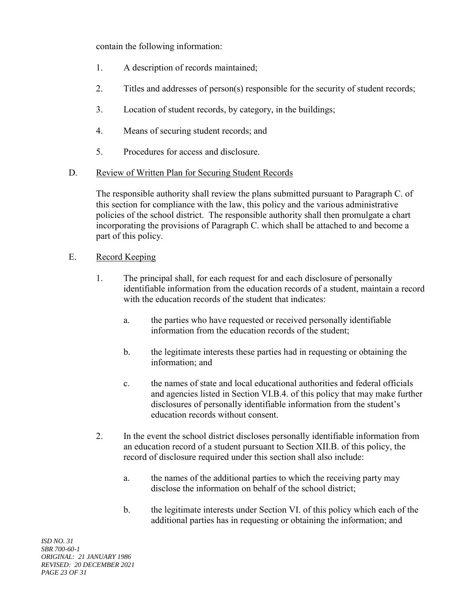contain the following information:

- 1. A description of records maintained;
- 2. Titles and addresses of person(s) responsible for the security of student records;
- 3. Location of student records, by category, in the buildings;
- 4. Means of securing student records; and
- 5. Procedures for access and disclosure.
- D. Review of Written Plan for Securing Student Records

The responsible authority shall review the plans submitted pursuant to Paragraph C. of this section for compliance with the law, this policy and the various administrative policies of the school district. The responsible authority shall then promulgate a chart incorporating the provisions of Paragraph C. which shall be attached to and become a part of this policy.

- E. Record Keeping
	- 1. The principal shall, for each request for and each disclosure of personally identifiable information from the education records of a student, maintain a record with the education records of the student that indicates:
		- a. the parties who have requested or received personally identifiable information from the education records of the student;
		- b. the legitimate interests these parties had in requesting or obtaining the information; and
		- c. the names of state and local educational authorities and federal officials and agencies listed in Section VI.B.4. of this policy that may make further disclosures of personally identifiable information from the student's education records without consent.
	- 2. In the event the school district discloses personally identifiable information from an education record of a student pursuant to Section XII.B. of this policy, the record of disclosure required under this section shall also include:
		- a. the names of the additional parties to which the receiving party may disclose the information on behalf of the school district;
		- b. the legitimate interests under Section VI. of this policy which each of the additional parties has in requesting or obtaining the information; and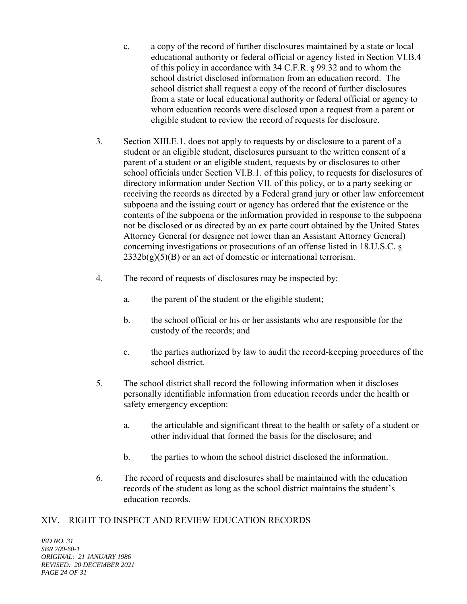- c. a copy of the record of further disclosures maintained by a state or local educational authority or federal official or agency listed in Section VI.B.4 of this policy in accordance with 34 C.F.R. ᶊ 99.32 and to whom the school district disclosed information from an education record. The school district shall request a copy of the record of further disclosures from a state or local educational authority or federal official or agency to whom education records were disclosed upon a request from a parent or eligible student to review the record of requests for disclosure.
- 3. Section XIII.E.1. does not apply to requests by or disclosure to a parent of a student or an eligible student, disclosures pursuant to the written consent of a parent of a student or an eligible student, requests by or disclosures to other school officials under Section VI.B.1. of this policy, to requests for disclosures of directory information under Section VII. of this policy, or to a party seeking or receiving the records as directed by a Federal grand jury or other law enforcement subpoena and the issuing court or agency has ordered that the existence or the contents of the subpoena or the information provided in response to the subpoena not be disclosed or as directed by an ex parte court obtained by the United States Attorney General (or designee not lower than an Assistant Attorney General) concerning investigations or prosecutions of an offense listed in 18.U.S.C. s  $2332b(g)(5)(B)$  or an act of domestic or international terrorism.
- 4. The record of requests of disclosures may be inspected by:
	- a. the parent of the student or the eligible student;
	- b. the school official or his or her assistants who are responsible for the custody of the records; and
	- c. the parties authorized by law to audit the record-keeping procedures of the school district.
- 5. The school district shall record the following information when it discloses personally identifiable information from education records under the health or safety emergency exception:
	- a. the articulable and significant threat to the health or safety of a student or other individual that formed the basis for the disclosure; and
	- b. the parties to whom the school district disclosed the information.
- 6. The record of requests and disclosures shall be maintained with the education records of the student as long as the school district maintains the student's education records.

## XIV. RIGHT TO INSPECT AND REVIEW EDUCATION RECORDS

*ISD NO. 31 SBR 700-60-1 ORIGINAL: 21 JANUARY 1986 REVISED: 20 DECEMBER 2021 PAGE 24 OF 31*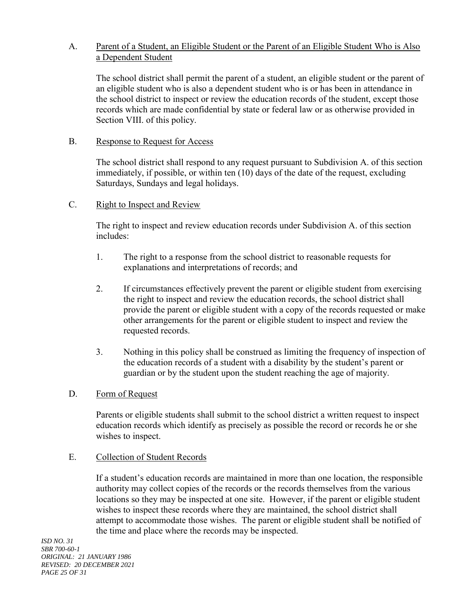## A. Parent of a Student, an Eligible Student or the Parent of an Eligible Student Who is Also a Dependent Student

The school district shall permit the parent of a student, an eligible student or the parent of an eligible student who is also a dependent student who is or has been in attendance in the school district to inspect or review the education records of the student, except those records which are made confidential by state or federal law or as otherwise provided in Section VIII. of this policy.

### B. Response to Request for Access

The school district shall respond to any request pursuant to Subdivision A. of this section immediately, if possible, or within ten (10) days of the date of the request, excluding Saturdays, Sundays and legal holidays.

### C. Right to Inspect and Review

The right to inspect and review education records under Subdivision A. of this section includes:

- 1. The right to a response from the school district to reasonable requests for explanations and interpretations of records; and
- 2. If circumstances effectively prevent the parent or eligible student from exercising the right to inspect and review the education records, the school district shall provide the parent or eligible student with a copy of the records requested or make other arrangements for the parent or eligible student to inspect and review the requested records.
- 3. Nothing in this policy shall be construed as limiting the frequency of inspection of the education records of a student with a disability by the student's parent or guardian or by the student upon the student reaching the age of majority.

## D. Form of Request

Parents or eligible students shall submit to the school district a written request to inspect education records which identify as precisely as possible the record or records he or she wishes to inspect.

#### E. Collection of Student Records

If a student's education records are maintained in more than one location, the responsible authority may collect copies of the records or the records themselves from the various locations so they may be inspected at one site. However, if the parent or eligible student wishes to inspect these records where they are maintained, the school district shall attempt to accommodate those wishes. The parent or eligible student shall be notified of the time and place where the records may be inspected.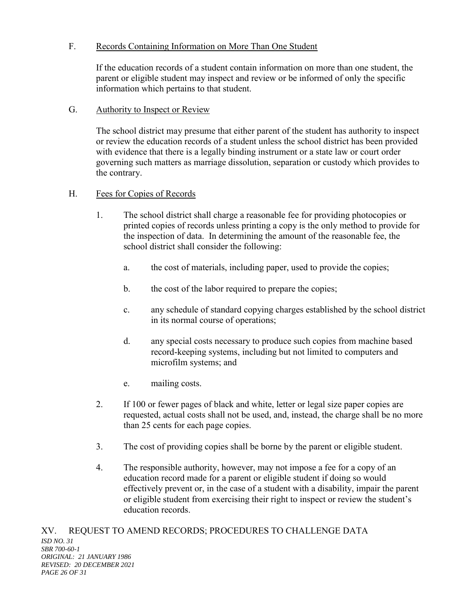## F. Records Containing Information on More Than One Student

If the education records of a student contain information on more than one student, the parent or eligible student may inspect and review or be informed of only the specific information which pertains to that student.

## G. Authority to Inspect or Review

The school district may presume that either parent of the student has authority to inspect or review the education records of a student unless the school district has been provided with evidence that there is a legally binding instrument or a state law or court order governing such matters as marriage dissolution, separation or custody which provides to the contrary.

## H. Fees for Copies of Records

- 1. The school district shall charge a reasonable fee for providing photocopies or printed copies of records unless printing a copy is the only method to provide for the inspection of data. In determining the amount of the reasonable fee, the school district shall consider the following:
	- a. the cost of materials, including paper, used to provide the copies;
	- b. the cost of the labor required to prepare the copies;
	- c. any schedule of standard copying charges established by the school district in its normal course of operations;
	- d. any special costs necessary to produce such copies from machine based record-keeping systems, including but not limited to computers and microfilm systems; and
	- e. mailing costs.
- 2. If 100 or fewer pages of black and white, letter or legal size paper copies are requested, actual costs shall not be used, and, instead, the charge shall be no more than 25 cents for each page copies.
- 3. The cost of providing copies shall be borne by the parent or eligible student.
- 4. The responsible authority, however, may not impose a fee for a copy of an education record made for a parent or eligible student if doing so would effectively prevent or, in the case of a student with a disability, impair the parent or eligible student from exercising their right to inspect or review the student's education records.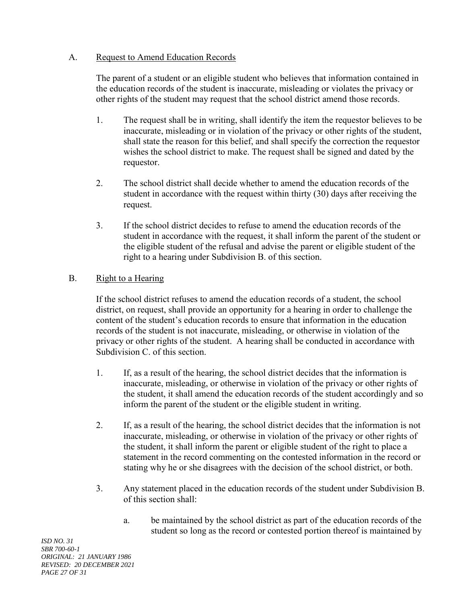### A. Request to Amend Education Records

The parent of a student or an eligible student who believes that information contained in the education records of the student is inaccurate, misleading or violates the privacy or other rights of the student may request that the school district amend those records.

- 1. The request shall be in writing, shall identify the item the requestor believes to be inaccurate, misleading or in violation of the privacy or other rights of the student, shall state the reason for this belief, and shall specify the correction the requestor wishes the school district to make. The request shall be signed and dated by the requestor.
- 2. The school district shall decide whether to amend the education records of the student in accordance with the request within thirty (30) days after receiving the request.
- 3. If the school district decides to refuse to amend the education records of the student in accordance with the request, it shall inform the parent of the student or the eligible student of the refusal and advise the parent or eligible student of the right to a hearing under Subdivision B. of this section.

## B. Right to a Hearing

If the school district refuses to amend the education records of a student, the school district, on request, shall provide an opportunity for a hearing in order to challenge the content of the student's education records to ensure that information in the education records of the student is not inaccurate, misleading, or otherwise in violation of the privacy or other rights of the student. A hearing shall be conducted in accordance with Subdivision C. of this section.

- 1. If, as a result of the hearing, the school district decides that the information is inaccurate, misleading, or otherwise in violation of the privacy or other rights of the student, it shall amend the education records of the student accordingly and so inform the parent of the student or the eligible student in writing.
- 2. If, as a result of the hearing, the school district decides that the information is not inaccurate, misleading, or otherwise in violation of the privacy or other rights of the student, it shall inform the parent or eligible student of the right to place a statement in the record commenting on the contested information in the record or stating why he or she disagrees with the decision of the school district, or both.
- 3. Any statement placed in the education records of the student under Subdivision B. of this section shall:
	- a. be maintained by the school district as part of the education records of the student so long as the record or contested portion thereof is maintained by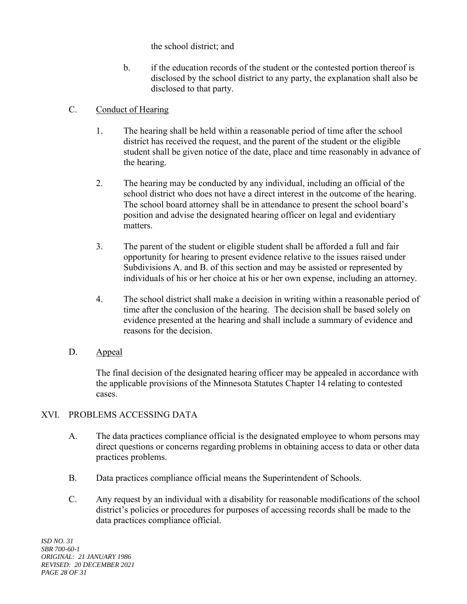the school district; and

b. if the education records of the student or the contested portion thereof is disclosed by the school district to any party, the explanation shall also be disclosed to that party.

## C. Conduct of Hearing

- 1. The hearing shall be held within a reasonable period of time after the school district has received the request, and the parent of the student or the eligible student shall be given notice of the date, place and time reasonably in advance of the hearing.
- 2. The hearing may be conducted by any individual, including an official of the school district who does not have a direct interest in the outcome of the hearing. The school board attorney shall be in attendance to present the school board's position and advise the designated hearing officer on legal and evidentiary matters.
- 3. The parent of the student or eligible student shall be afforded a full and fair opportunity for hearing to present evidence relative to the issues raised under Subdivisions A. and B. of this section and may be assisted or represented by individuals of his or her choice at his or her own expense, including an attorney.
- 4. The school district shall make a decision in writing within a reasonable period of time after the conclusion of the hearing. The decision shall be based solely on evidence presented at the hearing and shall include a summary of evidence and reasons for the decision.
- D. Appeal

The final decision of the designated hearing officer may be appealed in accordance with the applicable provisions of the Minnesota Statutes Chapter 14 relating to contested cases.

# XVI. PROBLEMS ACCESSING DATA

- A. The data practices compliance official is the designated employee to whom persons may direct questions or concerns regarding problems in obtaining access to data or other data practices problems.
- B. Data practices compliance official means the Superintendent of Schools.
- C. Any request by an individual with a disability for reasonable modifications of the school district's policies or procedures for purposes of accessing records shall be made to the data practices compliance official.

*ISD NO. 31 SBR 700-60-1 ORIGINAL: 21 JANUARY 1986 REVISED: 20 DECEMBER 2021 PAGE 28 OF 31*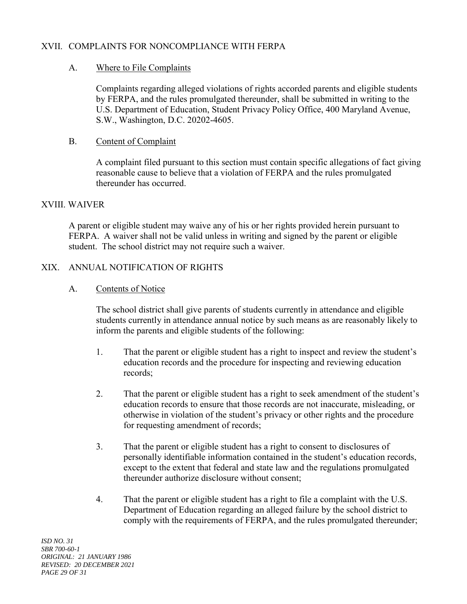### XVII. COMPLAINTS FOR NONCOMPLIANCE WITH FERPA

### A. Where to File Complaints

Complaints regarding alleged violations of rights accorded parents and eligible students by FERPA, and the rules promulgated thereunder, shall be submitted in writing to the U.S. Department of Education, Student Privacy Policy Office, 400 Maryland Avenue, S.W., Washington, D.C. 20202-4605.

#### B. Content of Complaint

A complaint filed pursuant to this section must contain specific allegations of fact giving reasonable cause to believe that a violation of FERPA and the rules promulgated thereunder has occurred.

#### XVIII. WAIVER

A parent or eligible student may waive any of his or her rights provided herein pursuant to FERPA. A waiver shall not be valid unless in writing and signed by the parent or eligible student. The school district may not require such a waiver.

### XIX. ANNUAL NOTIFICATION OF RIGHTS

#### A. Contents of Notice

The school district shall give parents of students currently in attendance and eligible students currently in attendance annual notice by such means as are reasonably likely to inform the parents and eligible students of the following:

- 1. That the parent or eligible student has a right to inspect and review the student's education records and the procedure for inspecting and reviewing education records;
- 2. That the parent or eligible student has a right to seek amendment of the student's education records to ensure that those records are not inaccurate, misleading, or otherwise in violation of the student's privacy or other rights and the procedure for requesting amendment of records;
- 3. That the parent or eligible student has a right to consent to disclosures of personally identifiable information contained in the student's education records, except to the extent that federal and state law and the regulations promulgated thereunder authorize disclosure without consent;
- 4. That the parent or eligible student has a right to file a complaint with the U.S. Department of Education regarding an alleged failure by the school district to comply with the requirements of FERPA, and the rules promulgated thereunder;

*ISD NO. 31 SBR 700-60-1 ORIGINAL: 21 JANUARY 1986 REVISED: 20 DECEMBER 2021 PAGE 29 OF 31*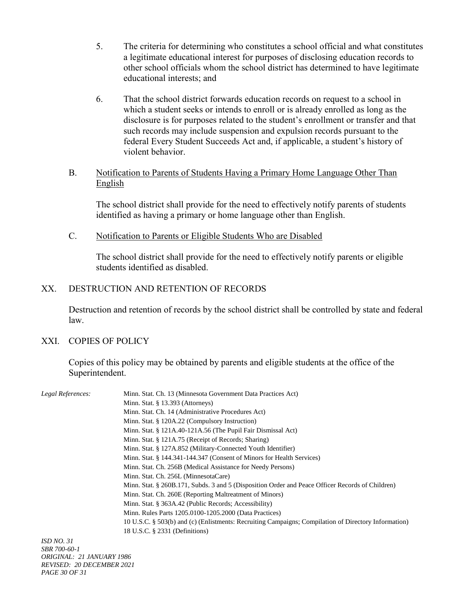- 5. The criteria for determining who constitutes a school official and what constitutes a legitimate educational interest for purposes of disclosing education records to other school officials whom the school district has determined to have legitimate educational interests; and
- 6. That the school district forwards education records on request to a school in which a student seeks or intends to enroll or is already enrolled as long as the disclosure is for purposes related to the student's enrollment or transfer and that such records may include suspension and expulsion records pursuant to the federal Every Student Succeeds Act and, if applicable, a student's history of violent behavior.

### B. Notification to Parents of Students Having a Primary Home Language Other Than English

The school district shall provide for the need to effectively notify parents of students identified as having a primary or home language other than English.

C. Notification to Parents or Eligible Students Who are Disabled

The school district shall provide for the need to effectively notify parents or eligible students identified as disabled.

#### XX. DESTRUCTION AND RETENTION OF RECORDS

Destruction and retention of records by the school district shall be controlled by state and federal law.

## XXI. COPIES OF POLICY

Copies of this policy may be obtained by parents and eligible students at the office of the Superintendent.

| Legal References:   | Minn. Stat. Ch. 13 (Minnesota Government Data Practices Act)                                         |
|---------------------|------------------------------------------------------------------------------------------------------|
|                     | Minn. Stat. $\S$ 13.393 (Attorneys)                                                                  |
|                     | Minn. Stat. Ch. 14 (Administrative Procedures Act)                                                   |
|                     | Minn. Stat. § 120A.22 (Compulsory Instruction)                                                       |
|                     | Minn. Stat. $\S$ 121A.40-121A.56 (The Pupil Fair Dismissal Act)                                      |
|                     | Minn. Stat. § 121A.75 (Receipt of Records; Sharing)                                                  |
|                     | Minn. Stat. § 127A.852 (Military-Connected Youth Identifier)                                         |
|                     | Minn. Stat. § 144.341-144.347 (Consent of Minors for Health Services)                                |
|                     | Minn. Stat. Ch. 256B (Medical Assistance for Needy Persons)                                          |
|                     | Minn. Stat. Ch. 256L (MinnesotaCare)                                                                 |
|                     | Minn. Stat. § 260B.171, Subds. 3 and 5 (Disposition Order and Peace Officer Records of Children)     |
|                     | Minn. Stat. Ch. 260E (Reporting Maltreatment of Minors)                                              |
|                     | Minn. Stat. § 363A.42 (Public Records; Accessibility)                                                |
|                     | Minn. Rules Parts 1205.0100-1205.2000 (Data Practices)                                               |
|                     | 10 U.S.C. § 503(b) and (c) (Enlistments: Recruiting Campaigns; Compilation of Directory Information) |
|                     | 18 U.S.C. § 2331 (Definitions)                                                                       |
| <i>ISD NO. 31</i>   |                                                                                                      |
| <i>SBR 700-60-1</i> |                                                                                                      |

*ORIGINAL: 21 JANUARY 1986 REVISED: 20 DECEMBER 2021 PAGE 30 OF 31*